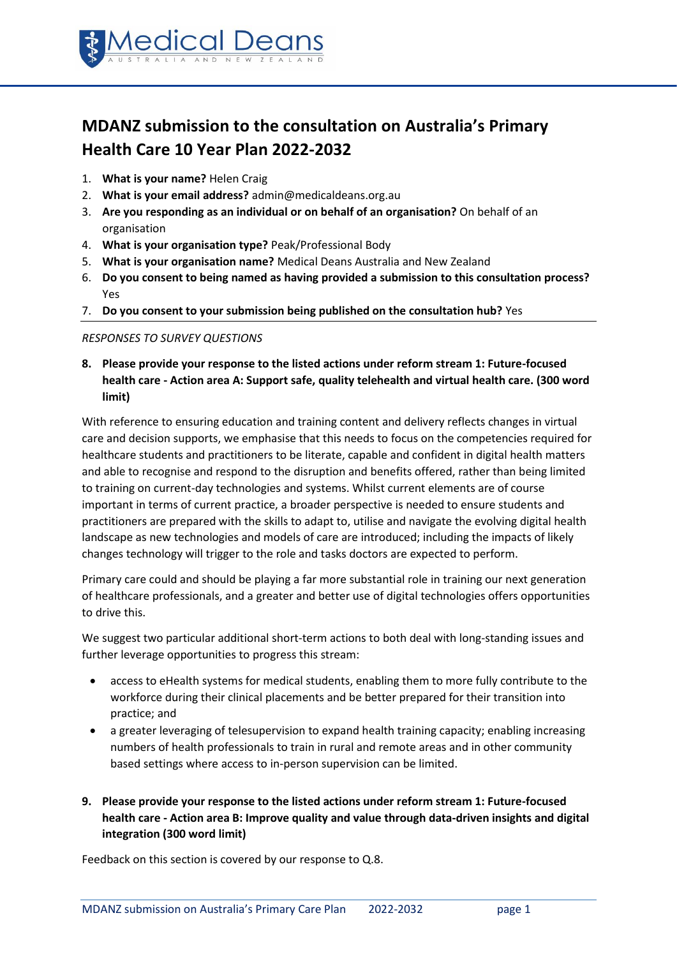

# **MDANZ submission to the consultation on Australia's Primary Health Care 10 Year Plan 2022-2032**

- 1. **What is your name?** Helen Craig
- 2. **What is your email address?** admin@medicaldeans.org.au
- 3. **Are you responding as an individual or on behalf of an organisation?** On behalf of an organisation
- 4. **What is your organisation type?** Peak/Professional Body
- 5. **What is your organisation name?** Medical Deans Australia and New Zealand
- 6. **Do you consent to being named as having provided a submission to this consultation process?** Yes
- 7. **Do you consent to your submission being published on the consultation hub?** Yes

#### *RESPONSES TO SURVEY QUESTIONS*

**8. Please provide your response to the listed actions under reform stream 1: Future-focused health care - Action area A: Support safe, quality telehealth and virtual health care. (300 word limit)**

With reference to ensuring education and training content and delivery reflects changes in virtual care and decision supports, we emphasise that this needs to focus on the competencies required for healthcare students and practitioners to be literate, capable and confident in digital health matters and able to recognise and respond to the disruption and benefits offered, rather than being limited to training on current-day technologies and systems. Whilst current elements are of course important in terms of current practice, a broader perspective is needed to ensure students and practitioners are prepared with the skills to adapt to, utilise and navigate the evolving digital health landscape as new technologies and models of care are introduced; including the impacts of likely changes technology will trigger to the role and tasks doctors are expected to perform.

Primary care could and should be playing a far more substantial role in training our next generation of healthcare professionals, and a greater and better use of digital technologies offers opportunities to drive this.

We suggest two particular additional short-term actions to both deal with long-standing issues and further leverage opportunities to progress this stream:

- access to eHealth systems for medical students, enabling them to more fully contribute to the workforce during their clinical placements and be better prepared for their transition into practice; and
- a greater leveraging of telesupervision to expand health training capacity; enabling increasing numbers of health professionals to train in rural and remote areas and in other community based settings where access to in-person supervision can be limited.
- **9. Please provide your response to the listed actions under reform stream 1: Future-focused health care - Action area B: Improve quality and value through data-driven insights and digital integration (300 word limit)**

Feedback on this section is covered by our response to Q.8.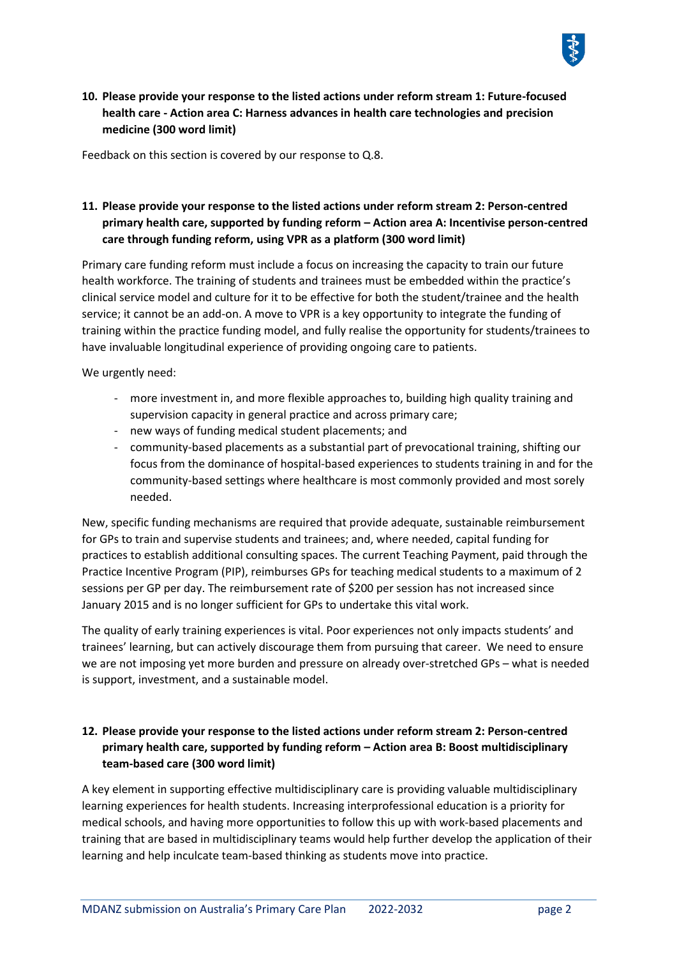

**10. Please provide your response to the listed actions under reform stream 1: Future-focused health care - Action area C: Harness advances in health care technologies and precision medicine (300 word limit)**

Feedback on this section is covered by our response to Q.8.

## **11. Please provide your response to the listed actions under reform stream 2: Person-centred primary health care, supported by funding reform – Action area A: Incentivise person-centred care through funding reform, using VPR as a platform (300 word limit)**

Primary care funding reform must include a focus on increasing the capacity to train our future health workforce. The training of students and trainees must be embedded within the practice's clinical service model and culture for it to be effective for both the student/trainee and the health service; it cannot be an add-on. A move to VPR is a key opportunity to integrate the funding of training within the practice funding model, and fully realise the opportunity for students/trainees to have invaluable longitudinal experience of providing ongoing care to patients.

We urgently need:

- more investment in, and more flexible approaches to, building high quality training and supervision capacity in general practice and across primary care;
- new ways of funding medical student placements; and
- community-based placements as a substantial part of prevocational training, shifting our focus from the dominance of hospital-based experiences to students training in and for the community-based settings where healthcare is most commonly provided and most sorely needed.

New, specific funding mechanisms are required that provide adequate, sustainable reimbursement for GPs to train and supervise students and trainees; and, where needed, capital funding for practices to establish additional consulting spaces. The current Teaching Payment, paid through the Practice Incentive Program (PIP), reimburses GPs for teaching medical students to a maximum of 2 sessions per GP per day. The reimbursement rate of \$200 per session has not increased since January 2015 and is no longer sufficient for GPs to undertake this vital work.

The quality of early training experiences is vital. Poor experiences not only impacts students' and trainees' learning, but can actively discourage them from pursuing that career. We need to ensure we are not imposing yet more burden and pressure on already over-stretched GPs – what is needed is support, investment, and a sustainable model.

## **12. Please provide your response to the listed actions under reform stream 2: Person-centred primary health care, supported by funding reform – Action area B: Boost multidisciplinary team-based care (300 word limit)**

A key element in supporting effective multidisciplinary care is providing valuable multidisciplinary learning experiences for health students. Increasing interprofessional education is a priority for medical schools, and having more opportunities to follow this up with work-based placements and training that are based in multidisciplinary teams would help further develop the application of their learning and help inculcate team-based thinking as students move into practice.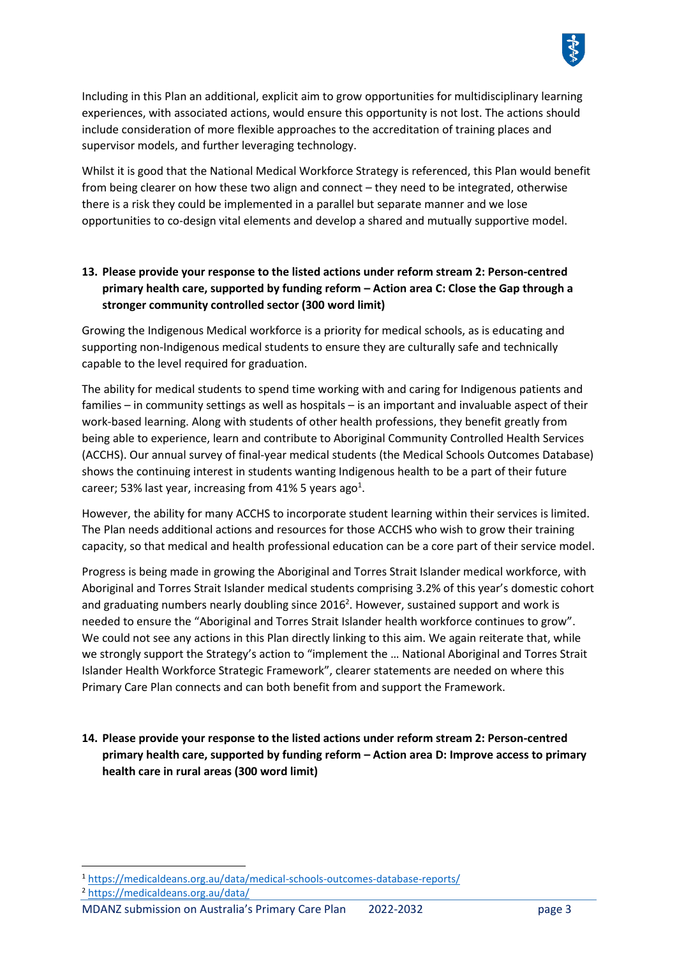

Including in this Plan an additional, explicit aim to grow opportunities for multidisciplinary learning experiences, with associated actions, would ensure this opportunity is not lost. The actions should include consideration of more flexible approaches to the accreditation of training places and supervisor models, and further leveraging technology.

Whilst it is good that the National Medical Workforce Strategy is referenced, this Plan would benefit from being clearer on how these two align and connect – they need to be integrated, otherwise there is a risk they could be implemented in a parallel but separate manner and we lose opportunities to co-design vital elements and develop a shared and mutually supportive model.

# **13. Please provide your response to the listed actions under reform stream 2: Person-centred primary health care, supported by funding reform – Action area C: Close the Gap through a stronger community controlled sector (300 word limit)**

Growing the Indigenous Medical workforce is a priority for medical schools, as is educating and supporting non-Indigenous medical students to ensure they are culturally safe and technically capable to the level required for graduation.

The ability for medical students to spend time working with and caring for Indigenous patients and families – in community settings as well as hospitals – is an important and invaluable aspect of their work-based learning. Along with students of other health professions, they benefit greatly from being able to experience, learn and contribute to Aboriginal Community Controlled Health Services (ACCHS). Our annual survey of final-year medical students (the Medical Schools Outcomes Database) shows the continuing interest in students wanting Indigenous health to be a part of their future career; 53% last year, increasing from 41% 5 years ago<sup>1</sup>.

However, the ability for many ACCHS to incorporate student learning within their services is limited. The Plan needs additional actions and resources for those ACCHS who wish to grow their training capacity, so that medical and health professional education can be a core part of their service model.

Progress is being made in growing the Aboriginal and Torres Strait Islander medical workforce, with Aboriginal and Torres Strait Islander medical students comprising 3.2% of this year's domestic cohort and graduating numbers nearly doubling since 2016<sup>2</sup>. However, sustained support and work is needed to ensure the "Aboriginal and Torres Strait Islander health workforce continues to grow". We could not see any actions in this Plan directly linking to this aim. We again reiterate that, while we strongly support the Strategy's action to "implement the … National Aboriginal and Torres Strait Islander Health Workforce Strategic Framework", clearer statements are needed on where this Primary Care Plan connects and can both benefit from and support the Framework.

**14. Please provide your response to the listed actions under reform stream 2: Person-centred primary health care, supported by funding reform – Action area D: Improve access to primary health care in rural areas (300 word limit)**

<sup>2</sup> <https://medicaldeans.org.au/data/>

<sup>1</sup> <https://medicaldeans.org.au/data/medical-schools-outcomes-database-reports/>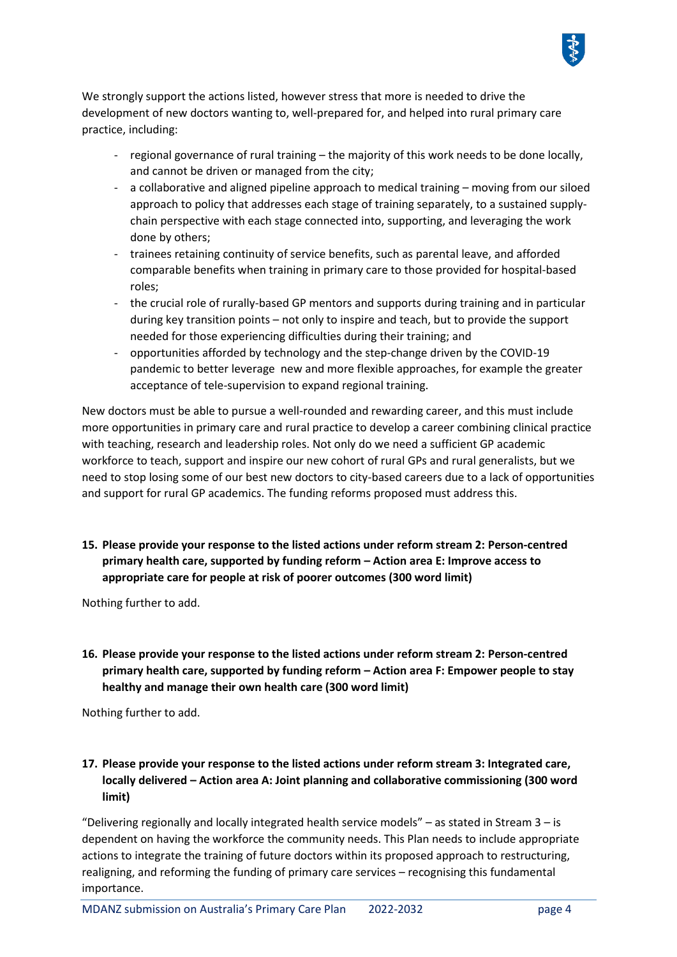

We strongly support the actions listed, however stress that more is needed to drive the development of new doctors wanting to, well-prepared for, and helped into rural primary care practice, including:

- regional governance of rural training the majority of this work needs to be done locally, and cannot be driven or managed from the city;
- a collaborative and aligned pipeline approach to medical training moving from our siloed approach to policy that addresses each stage of training separately, to a sustained supplychain perspective with each stage connected into, supporting, and leveraging the work done by others;
- trainees retaining continuity of service benefits, such as parental leave, and afforded comparable benefits when training in primary care to those provided for hospital-based roles;
- the crucial role of rurally-based GP mentors and supports during training and in particular during key transition points – not only to inspire and teach, but to provide the support needed for those experiencing difficulties during their training; and
- opportunities afforded by technology and the step-change driven by the COVID-19 pandemic to better leverage new and more flexible approaches, for example the greater acceptance of tele-supervision to expand regional training.

New doctors must be able to pursue a well-rounded and rewarding career, and this must include more opportunities in primary care and rural practice to develop a career combining clinical practice with teaching, research and leadership roles. Not only do we need a sufficient GP academic workforce to teach, support and inspire our new cohort of rural GPs and rural generalists, but we need to stop losing some of our best new doctors to city-based careers due to a lack of opportunities and support for rural GP academics. The funding reforms proposed must address this.

**15. Please provide your response to the listed actions under reform stream 2: Person-centred primary health care, supported by funding reform – Action area E: Improve access to appropriate care for people at risk of poorer outcomes (300 word limit)**

Nothing further to add.

**16. Please provide your response to the listed actions under reform stream 2: Person-centred primary health care, supported by funding reform – Action area F: Empower people to stay healthy and manage their own health care (300 word limit)**

Nothing further to add.

# **17. Please provide your response to the listed actions under reform stream 3: Integrated care, locally delivered – Action area A: Joint planning and collaborative commissioning (300 word limit)**

"Delivering regionally and locally integrated health service models" – as stated in Stream 3 – is dependent on having the workforce the community needs. This Plan needs to include appropriate actions to integrate the training of future doctors within its proposed approach to restructuring, realigning, and reforming the funding of primary care services – recognising this fundamental importance.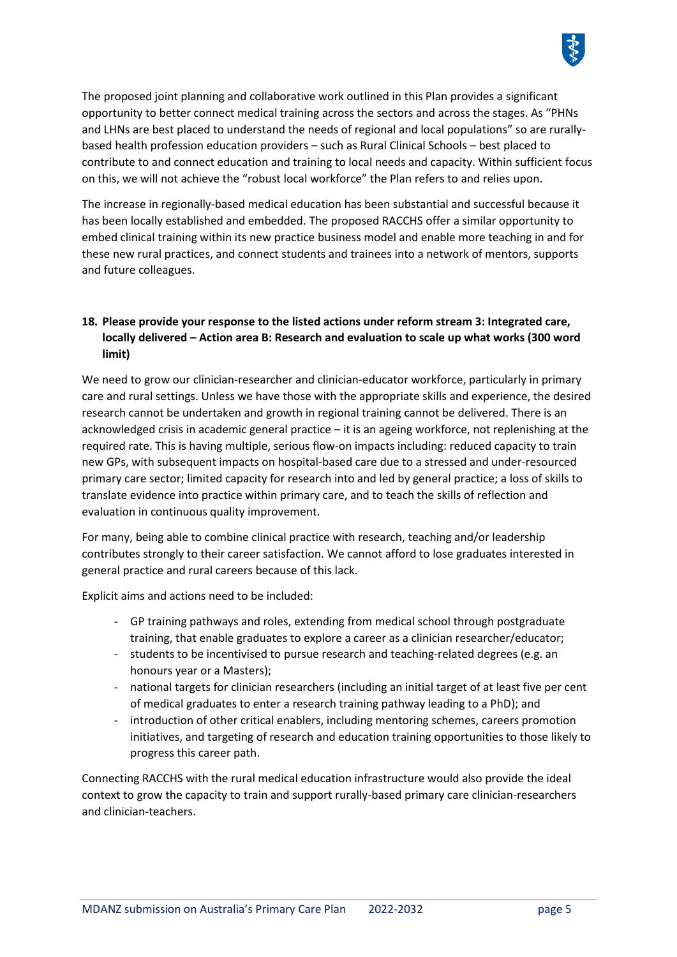The proposed joint planning and collaborative work outlined in this Plan provides a significant opportunity to better connect medical training across the sectors and across the stages. As "PHNs and LHNs are best placed to understand the needs of regional and local populations" so are rurallybased health profession education providers – such as Rural Clinical Schools – best placed to contribute to and connect education and training to local needs and capacity. Within sufficient focus on this, we will not achieve the "robust local workforce" the Plan refers to and relies upon.

The increase in regionally-based medical education has been substantial and successful because it has been locally established and embedded. The proposed RACCHS offer a similar opportunity to embed clinical training within its new practice business model and enable more teaching in and for these new rural practices, and connect students and trainees into a network of mentors, supports and future colleagues.

# **18. Please provide your response to the listed actions under reform stream 3: Integrated care, locally delivered – Action area B: Research and evaluation to scale up what works (300 word limit)**

We need to grow our clinician-researcher and clinician-educator workforce, particularly in primary care and rural settings. Unless we have those with the appropriate skills and experience, the desired research cannot be undertaken and growth in regional training cannot be delivered. There is an acknowledged crisis in academic general practice – it is an ageing workforce, not replenishing at the required rate. This is having multiple, serious flow-on impacts including: reduced capacity to train new GPs, with subsequent impacts on hospital-based care due to a stressed and under-resourced primary care sector; limited capacity for research into and led by general practice; a loss of skills to translate evidence into practice within primary care, and to teach the skills of reflection and evaluation in continuous quality improvement.

For many, being able to combine clinical practice with research, teaching and/or leadership contributes strongly to their career satisfaction. We cannot afford to lose graduates interested in general practice and rural careers because of this lack.

Explicit aims and actions need to be included:

- GP training pathways and roles, extending from medical school through postgraduate training, that enable graduates to explore a career as a clinician researcher/educator;
- students to be incentivised to pursue research and teaching-related degrees (e.g. an honours year or a Masters);
- national targets for clinician researchers (including an initial target of at least five per cent of medical graduates to enter a research training pathway leading to a PhD); and
- introduction of other critical enablers, including mentoring schemes, careers promotion initiatives, and targeting of research and education training opportunities to those likely to progress this career path.

Connecting RACCHS with the rural medical education infrastructure would also provide the ideal context to grow the capacity to train and support rurally-based primary care clinician-researchers and clinician-teachers.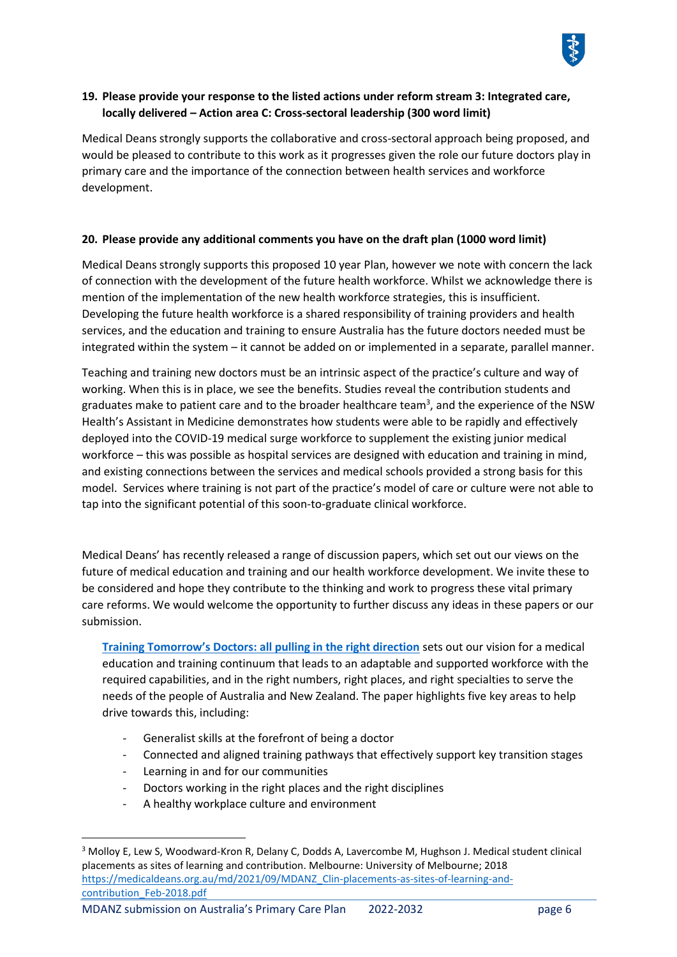

#### **19. Please provide your response to the listed actions under reform stream 3: Integrated care, locally delivered – Action area C: Cross-sectoral leadership (300 word limit)**

Medical Deans strongly supports the collaborative and cross-sectoral approach being proposed, and would be pleased to contribute to this work as it progresses given the role our future doctors play in primary care and the importance of the connection between health services and workforce development.

#### **20. Please provide any additional comments you have on the draft plan (1000 word limit)**

Medical Deans strongly supports this proposed 10 year Plan, however we note with concern the lack of connection with the development of the future health workforce. Whilst we acknowledge there is mention of the implementation of the new health workforce strategies, this is insufficient. Developing the future health workforce is a shared responsibility of training providers and health services, and the education and training to ensure Australia has the future doctors needed must be integrated within the system – it cannot be added on or implemented in a separate, parallel manner.

Teaching and training new doctors must be an intrinsic aspect of the practice's culture and way of working. When this is in place, we see the benefits. Studies reveal the contribution students and graduates make to patient care and to the broader healthcare team<sup>3</sup>, and the experience of the NSW Health's Assistant in Medicine demonstrates how students were able to be rapidly and effectively deployed into the COVID-19 medical surge workforce to supplement the existing junior medical workforce – this was possible as hospital services are designed with education and training in mind, and existing connections between the services and medical schools provided a strong basis for this model. Services where training is not part of the practice's model of care or culture were not able to tap into the significant potential of this soon-to-graduate clinical workforce.

Medical Deans' has recently released a range of discussion papers, which set out our views on the future of medical education and training and our health workforce development. We invite these to be considered and hope they contribute to the thinking and work to progress these vital primary care reforms. We would welcome the opportunity to further discuss any ideas in these papers or our submission.

**[Training Tomorrow's Doctors: all pulling in the right direction](https://medicaldeans.org.au/md/2021/09/Training-Tomorrows-Doctors-all-pulling-in-the-right-direction-September-2021.pdf)** sets out our vision for a medical education and training continuum that leads to an adaptable and supported workforce with the required capabilities, and in the right numbers, right places, and right specialties to serve the needs of the people of Australia and New Zealand. The paper highlights five key areas to help drive towards this, including:

- Generalist skills at the forefront of being a doctor
- Connected and aligned training pathways that effectively support key transition stages
- Learning in and for our communities
- Doctors working in the right places and the right disciplines
- A healthy workplace culture and environment

<sup>3</sup> Molloy E, Lew S, Woodward-Kron R, Delany C, Dodds A, Lavercombe M, Hughson J. Medical student clinical placements as sites of learning and contribution. Melbourne: University of Melbourne; 2018 [https://medicaldeans.org.au/md/2021/09/MDANZ\\_Clin-placements-as-sites-of-learning-and](https://medicaldeans.org.au/md/2021/09/MDANZ_Clin-placements-as-sites-of-learning-and-contribution_Feb-2018.pdf)[contribution\\_Feb-2018.pdf](https://medicaldeans.org.au/md/2021/09/MDANZ_Clin-placements-as-sites-of-learning-and-contribution_Feb-2018.pdf)